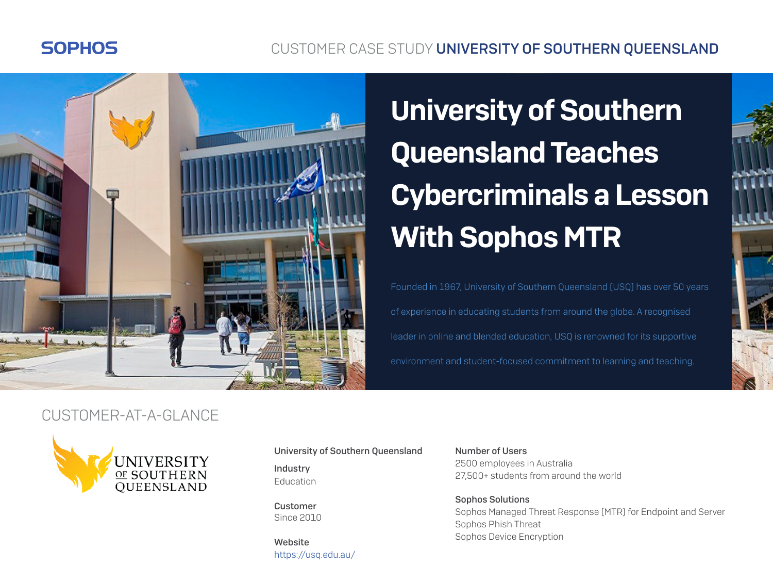## **SOPHOS**

## CUSTOMER CASE STUDY UNIVERSITY OF SOUTHERN QUEENSLAND



# University of Southern Queensland Teaches Cybercriminals a Lesson With Sophos MTR

Founded in 1967, University of Southern Queensland (USQ) has over 50 years of experience in educating students from around the globe. A recognised leader in online and blended education, USQ is renowned for its supportive environment and student-focused commitment to learning and teaching.

#### CUSTOMER-AT-A-GLANCE



University of Southern Queensland

Industry Education

Customer Since 2010

Website <https://usq.edu.au/>

Number of Users 2500 employees in Australia 27,500+ students from around the world

Sophos Solutions Sophos Managed Threat Response (MTR) for Endpoint and Server Sophos Phish Threat Sophos Device Encryption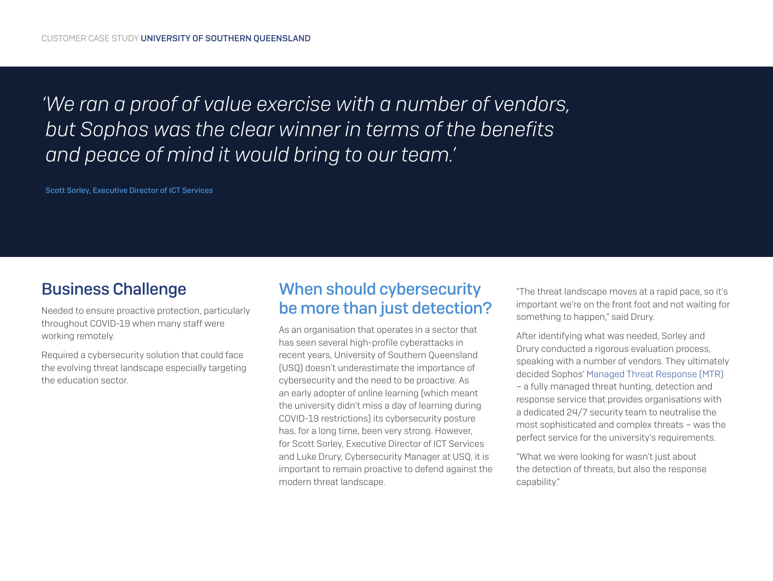*'We ran a proof of value exercise with a number of vendors, but Sophos was the clear winner in terms of the benefits and peace of mind it would bring to our team.'*

Scott Sorley, Executive Director of ICT Services

#### Business Challenge

Needed to ensure proactive protection, particularly throughout COVID-19 when many staff were working remotely.

Required a cybersecurity solution that could face the evolving threat landscape especially targeting the education sector.

## When should cybersecurity be more than just detection?

As an organisation that operates in a sector that has seen several high-profile cyberattacks in recent years, University of Southern Queensland (USQ) doesn't underestimate the importance of cybersecurity and the need to be proactive. As an early adopter of online learning (which meant the university didn't miss a day of learning during COVID-19 restrictions) its cybersecurity posture has, for a long time, been very strong. However, for Scott Sorley, Executive Director of ICT Services and Luke Drury, Cybersecurity Manager at USQ, it is important to remain proactive to defend against the modern threat landscape.

"The threat landscape moves at a rapid pace, so it's important we're on the front foot and not waiting for something to happen," said Drury.

After identifying what was needed, Sorley and Drury conducted a rigorous evaluation process, speaking with a number of vendors. They ultimately decided Sophos' [Managed Threat Response \(MTR\)](https://www.sophos.com/en-us/products/managed-threat-response.aspx) – a fully managed threat hunting, detection and response service that provides organisations with a dedicated 24/7 security team to neutralise the most sophisticated and complex threats – was the perfect service for the university's requirements.

"What we were looking for wasn't just about the detection of threats, but also the response capability."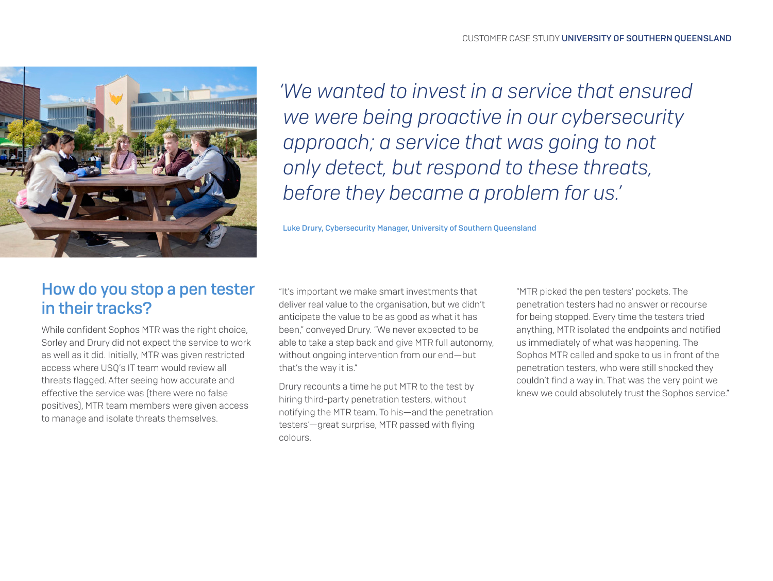

*'We wanted to invest in a service that ensured we were being proactive in our cybersecurity approach; a service that was going to not only detect, but respond to these threats, before they became a problem for us.'*

Luke Drury, Cybersecurity Manager, University of Southern Queensland

## How do you stop a pen tester in their tracks?

While confident Sophos MTR was the right choice, Sorley and Drury did not expect the service to work as well as it did. Initially, MTR was given restricted access where USQ's IT team would review all threats flagged. After seeing how accurate and effective the service was (there were no false positives), MTR team members were given access to manage and isolate threats themselves.

"It's important we make smart investments that deliver real value to the organisation, but we didn't anticipate the value to be as good as what it has been," conveyed Drury. "We never expected to be able to take a step back and give MTR full autonomy, without ongoing intervention from our end—but that's the way it is."

Drury recounts a time he put MTR to the test by hiring third-party penetration testers, without notifying the MTR team. To his—and the penetration testers'—great surprise, MTR passed with flying colours.

"MTR picked the pen testers' pockets. The penetration testers had no answer or recourse for being stopped. Every time the testers tried anything, MTR isolated the endpoints and notified us immediately of what was happening. The Sophos MTR called and spoke to us in front of the penetration testers, who were still shocked they couldn't find a way in. That was the very point we knew we could absolutely trust the Sophos service."